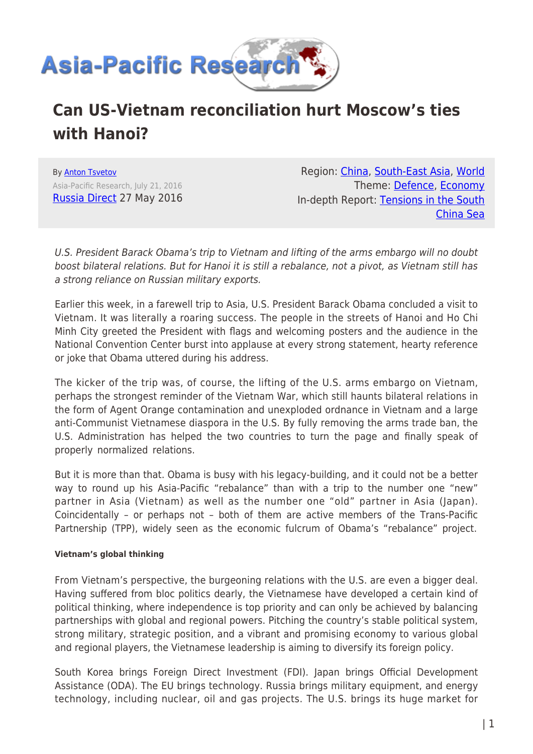

# **Can US-Vietnam reconciliation hurt Moscow's ties with Hanoi?**

By [Anton Tsvetov](https://www.asia-pacificresearch.com/author/anton-tsvetov) Asia-Pacific Research, July 21, 2016 [Russia Direct](http://www.russia-direct.org/) 27 May 2016

Region: [China,](https://www.asia-pacificresearch.com/region/china) [South-East Asia](https://www.asia-pacificresearch.com/region/south-east-asia), [World](https://www.asia-pacificresearch.com/region/world) Theme: [Defence,](https://www.asia-pacificresearch.com/theme/defence) [Economy](https://www.asia-pacificresearch.com/theme/as-economy) In-depth Report: [Tensions in the South](https://www.asia-pacificresearch.com/indepthreport/tensions-in-the-south-china-sea) [China Sea](https://www.asia-pacificresearch.com/indepthreport/tensions-in-the-south-china-sea)

U.S. President Barack Obama's trip to Vietnam and lifting of the arms embargo will no doubt boost bilateral relations. But for Hanoi it is still a rebalance, not a pivot, as Vietnam still has a strong reliance on Russian military exports.

Earlier this week, in a farewell trip to Asia, U.S. President Barack Obama concluded a visit to Vietnam. It was literally a roaring success. The people in the streets of Hanoi and Ho Chi Minh City greeted the President with flags and welcoming posters and the audience in the National Convention Center burst into applause at every strong statement, hearty reference or joke that Obama uttered during his address.

The kicker of the trip was, of course, the lifting of the U.S. arms embargo on Vietnam, perhaps the strongest reminder of the Vietnam War, which still haunts bilateral relations in the form of Agent Orange contamination and unexploded ordnance in Vietnam and a large anti-Communist Vietnamese diaspora in the U.S. By fully removing the arms trade ban, the U.S. Administration has helped the two countries to turn the page and finally speak of properly normalized relations.

But it is more than that. Obama is busy with his legacy-building, and it could not be a better way to round up his Asia-Pacific "rebalance" than with a trip to the number one "new" partner in Asia (Vietnam) as well as the number one "old" partner in Asia (Japan). Coincidentally – or perhaps not – both of them are active members of the Trans-Pacific Partnership (TPP), widely seen as the economic fulcrum of Obama's "rebalance" project.

#### **Vietnam's global thinking**

From Vietnam's perspective, the burgeoning relations with the U.S. are even a bigger deal. Having suffered from bloc politics dearly, the Vietnamese have developed a certain kind of political thinking, where independence is top priority and can only be achieved by balancing partnerships with global and regional powers. Pitching the country's stable political system, strong military, strategic position, and a vibrant and promising economy to various global and regional players, the Vietnamese leadership is aiming to diversify its foreign policy.

South Korea brings Foreign Direct Investment (FDI). Japan brings Official Development Assistance (ODA). The EU brings technology. Russia brings military equipment, and energy technology, including nuclear, oil and gas projects. The U.S. brings its huge market for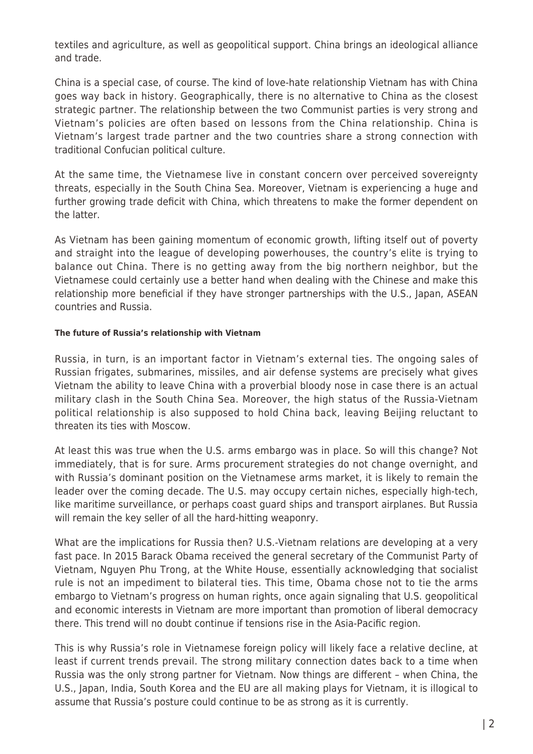textiles and agriculture, as well as geopolitical support. China brings an ideological alliance and trade.

China is a special case, of course. The kind of love-hate relationship Vietnam has with China goes way back in history. Geographically, there is no alternative to China as the closest strategic partner. The relationship between the two Communist parties is very strong and Vietnam's policies are often based on lessons from the China relationship. China is Vietnam's largest trade partner and the two countries share a strong connection with traditional Confucian political culture.

At the same time, the Vietnamese live in constant concern over perceived sovereignty threats, especially in the South China Sea. Moreover, Vietnam is experiencing a huge and further growing trade deficit with China, which threatens to make the former dependent on the latter.

As Vietnam has been gaining momentum of economic growth, lifting itself out of poverty and straight into the league of developing powerhouses, the country's elite is trying to balance out China. There is no getting away from the big northern neighbor, but the Vietnamese could certainly use a better hand when dealing with the Chinese and make this relationship more beneficial if they have stronger partnerships with the U.S., Japan, ASEAN countries and Russia.

#### **The future of Russia's relationship with Vietnam**

Russia, in turn, is an important factor in Vietnam's external ties. The ongoing sales of Russian frigates, submarines, missiles, and air defense systems are precisely what gives Vietnam the ability to leave China with a proverbial bloody nose in case there is an actual military clash in the South China Sea. Moreover, the high status of the Russia-Vietnam political relationship is also supposed to hold China back, leaving Beijing reluctant to threaten its ties with Moscow.

At least this was true when the U.S. arms embargo was in place. So will this change? Not immediately, that is for sure. Arms procurement strategies do not change overnight, and with Russia's dominant position on the Vietnamese arms market, it is likely to remain the leader over the coming decade. The U.S. may occupy certain niches, especially high-tech, like maritime surveillance, or perhaps coast guard ships and transport airplanes. But Russia will remain the key seller of all the hard-hitting weaponry.

What are the implications for Russia then? U.S.-Vietnam relations are developing at a very fast pace. In 2015 Barack Obama received the general secretary of the Communist Party of Vietnam, Nguyen Phu Trong, at the White House, essentially acknowledging that socialist rule is not an impediment to bilateral ties. This time, Obama chose not to tie the arms embargo to Vietnam's progress on human rights, once again signaling that U.S. geopolitical and economic interests in Vietnam are more important than promotion of liberal democracy there. This trend will no doubt continue if tensions rise in the Asia-Pacific region.

This is why Russia's role in Vietnamese foreign policy will likely face a relative decline, at least if current trends prevail. The strong military connection dates back to a time when Russia was the only strong partner for Vietnam. Now things are different – when China, the U.S., Japan, India, South Korea and the EU are all making plays for Vietnam, it is illogical to assume that Russia's posture could continue to be as strong as it is currently.